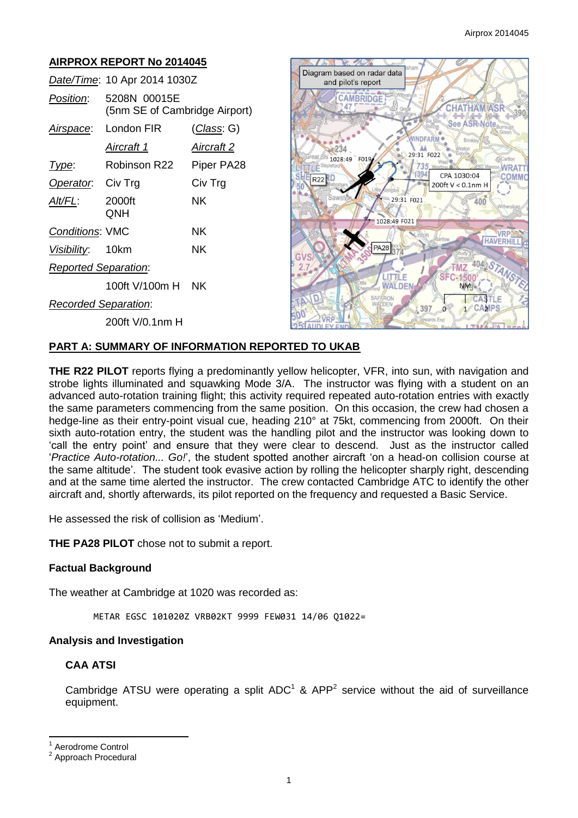# **AIRPROX REPORT No 2014045**

|                             | Date/Time: 10 Apr 2014 1030Z                  |            |
|-----------------------------|-----------------------------------------------|------------|
| Position:                   | 5208N 00015E<br>(5nm SE of Cambridge Airport) |            |
|                             | Airspace: London FIR                          | (Class: G) |
|                             | Aircraft 1                                    | Aircraft 2 |
| Type:                       | Robinson R22                                  | Piper PA28 |
| Operator. Civ Trg           |                                               | Civ Trg    |
| Alt/FL:                     | 2000ft<br>QNH                                 | ΝK         |
| Conditions: VMC             |                                               | ΝK         |
| Visibility: 10km            |                                               | ΝK         |
| <b>Reported Separation:</b> |                                               |            |
|                             | 100ft V/100m H NK                             |            |
| <b>Recorded Separation:</b> |                                               |            |
|                             | 200ft V/0.1nm H                               |            |



# **PART A: SUMMARY OF INFORMATION REPORTED TO UKAB**

**THE R22 PILOT** reports flying a predominantly yellow helicopter, VFR, into sun, with navigation and strobe lights illuminated and squawking Mode 3/A. The instructor was flying with a student on an advanced auto-rotation training flight; this activity required repeated auto-rotation entries with exactly the same parameters commencing from the same position. On this occasion, the crew had chosen a hedge-line as their entry-point visual cue, heading 210° at 75kt, commencing from 2000ft. On their sixth auto-rotation entry, the student was the handling pilot and the instructor was looking down to 'call the entry point' and ensure that they were clear to descend. Just as the instructor called '*Practice Auto-rotation... Go!*', the student spotted another aircraft 'on a head-on collision course at the same altitude'. The student took evasive action by rolling the helicopter sharply right, descending and at the same time alerted the instructor. The crew contacted Cambridge ATC to identify the other aircraft and, shortly afterwards, its pilot reported on the frequency and requested a Basic Service.

He assessed the risk of collision as 'Medium'.

**THE PA28 PILOT** chose not to submit a report.

### **Factual Background**

The weather at Cambridge at 1020 was recorded as:

METAR EGSC 101020Z VRB02KT 9999 FEW031 14/06 Q1022=

#### **Analysis and Investigation**

### **CAA ATSI**

Cambridge ATSU were operating a split  $ADC^1$  & APP<sup>2</sup> service without the aid of surveillance equipment.

 $\overline{\phantom{a}}$ 

<sup>1</sup> Aerodrome Control

<sup>2</sup> Approach Procedural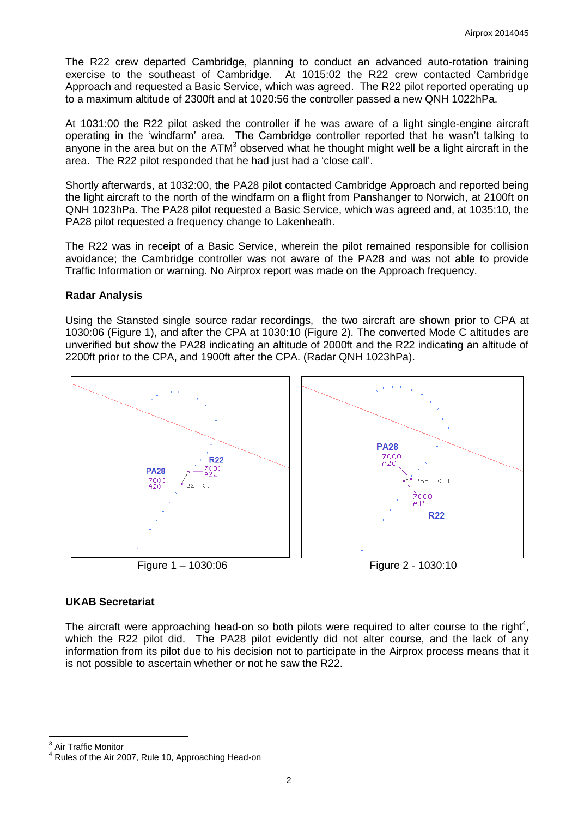The R22 crew departed Cambridge, planning to conduct an advanced auto-rotation training exercise to the southeast of Cambridge. At 1015:02 the R22 crew contacted Cambridge Approach and requested a Basic Service, which was agreed. The R22 pilot reported operating up to a maximum altitude of 2300ft and at 1020:56 the controller passed a new QNH 1022hPa.

At 1031:00 the R22 pilot asked the controller if he was aware of a light single-engine aircraft operating in the 'windfarm' area. The Cambridge controller reported that he wasn't talking to anyone in the area but on the  $ATM<sup>3</sup>$  observed what he thought might well be a light aircraft in the area. The R22 pilot responded that he had just had a 'close call'.

Shortly afterwards, at 1032:00, the PA28 pilot contacted Cambridge Approach and reported being the light aircraft to the north of the windfarm on a flight from Panshanger to Norwich, at 2100ft on QNH 1023hPa. The PA28 pilot requested a Basic Service, which was agreed and, at 1035:10, the PA28 pilot requested a frequency change to Lakenheath.

The R22 was in receipt of a Basic Service, wherein the pilot remained responsible for collision avoidance; the Cambridge controller was not aware of the PA28 and was not able to provide Traffic Information or warning. No Airprox report was made on the Approach frequency.

### **Radar Analysis**

Using the Stansted single source radar recordings, the two aircraft are shown prior to CPA at 1030:06 (Figure 1), and after the CPA at 1030:10 (Figure 2). The converted Mode C altitudes are unverified but show the PA28 indicating an altitude of 2000ft and the R22 indicating an altitude of 2200ft prior to the CPA, and 1900ft after the CPA. (Radar QNH 1023hPa).



### **UKAB Secretariat**

The aircraft were approaching head-on so both pilots were required to alter course to the right<sup>4</sup>, which the R22 pilot did. The PA28 pilot evidently did not alter course, and the lack of any information from its pilot due to his decision not to participate in the Airprox process means that it is not possible to ascertain whether or not he saw the R22.

<sup>3</sup> Air Traffic Monitor

<sup>4</sup> Rules of the Air 2007, Rule 10, Approaching Head-on